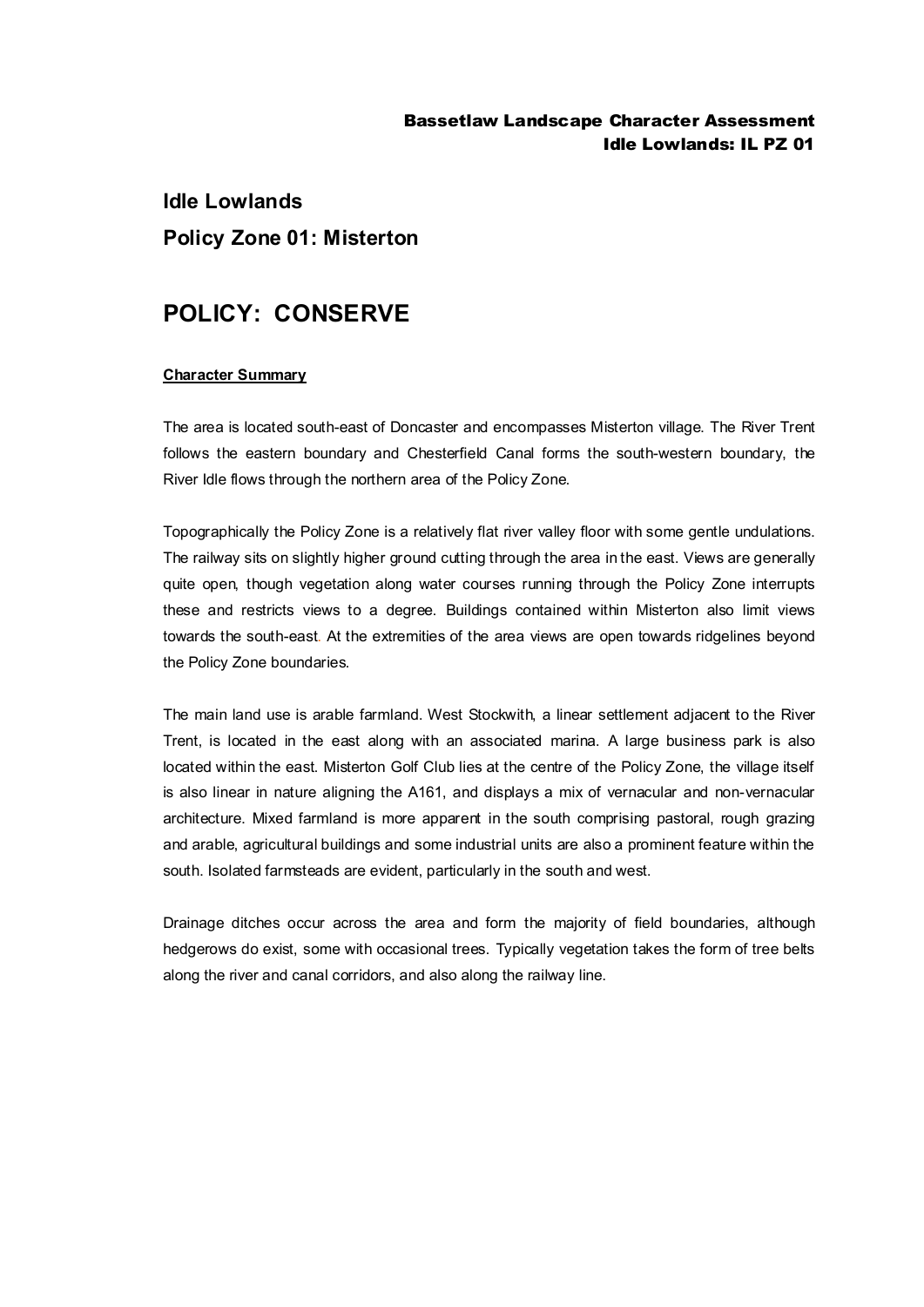## Bassetlaw Landscape Character Assessment Idle Lowlands: IL PZ 01

# **Idle Lowlands Policy Zone 01: Misterton**

## **POLICY: CONSERVE**

#### **Character Summary**

The area is located south-east of Doncaster and encompasses Misterton village. The River Trent follows the eastern boundary and Chesterfield Canal forms the south-western boundary, the River Idle flows through the northern area of the Policy Zone.

Topographically the Policy Zone is a relatively flat river valley floor with some gentle undulations. The railway sits on slightly higher ground cutting through the area in the east. Views are generally quite open, though vegetation along water courses running through the Policy Zone interrupts these and restricts views to a degree. Buildings contained within Misterton also limit views towards the south-east. At the extremities of the area views are open towards ridgelines beyond the Policy Zone boundaries.

The main land use is arable farmland. West Stockwith, a linear settlement adjacent to the River Trent, is located in the east along with an associated marina. A large business park is also located within the east. Misterton Golf Club lies at the centre of the Policy Zone, the village itself is also linear in nature aligning the A161, and displays a mix of vernacular and non-vernacular architecture. Mixed farmland is more apparent in the south comprising pastoral, rough grazing and arable, agricultural buildings and some industrial units are also a prominent feature within the south. Isolated farmsteads are evident, particularly in the south and west.

Drainage ditches occur across the area and form the majority of field boundaries, although hedgerows do exist, some with occasional trees. Typically vegetation takes the form of tree belts along the river and canal corridors, and also along the railway line.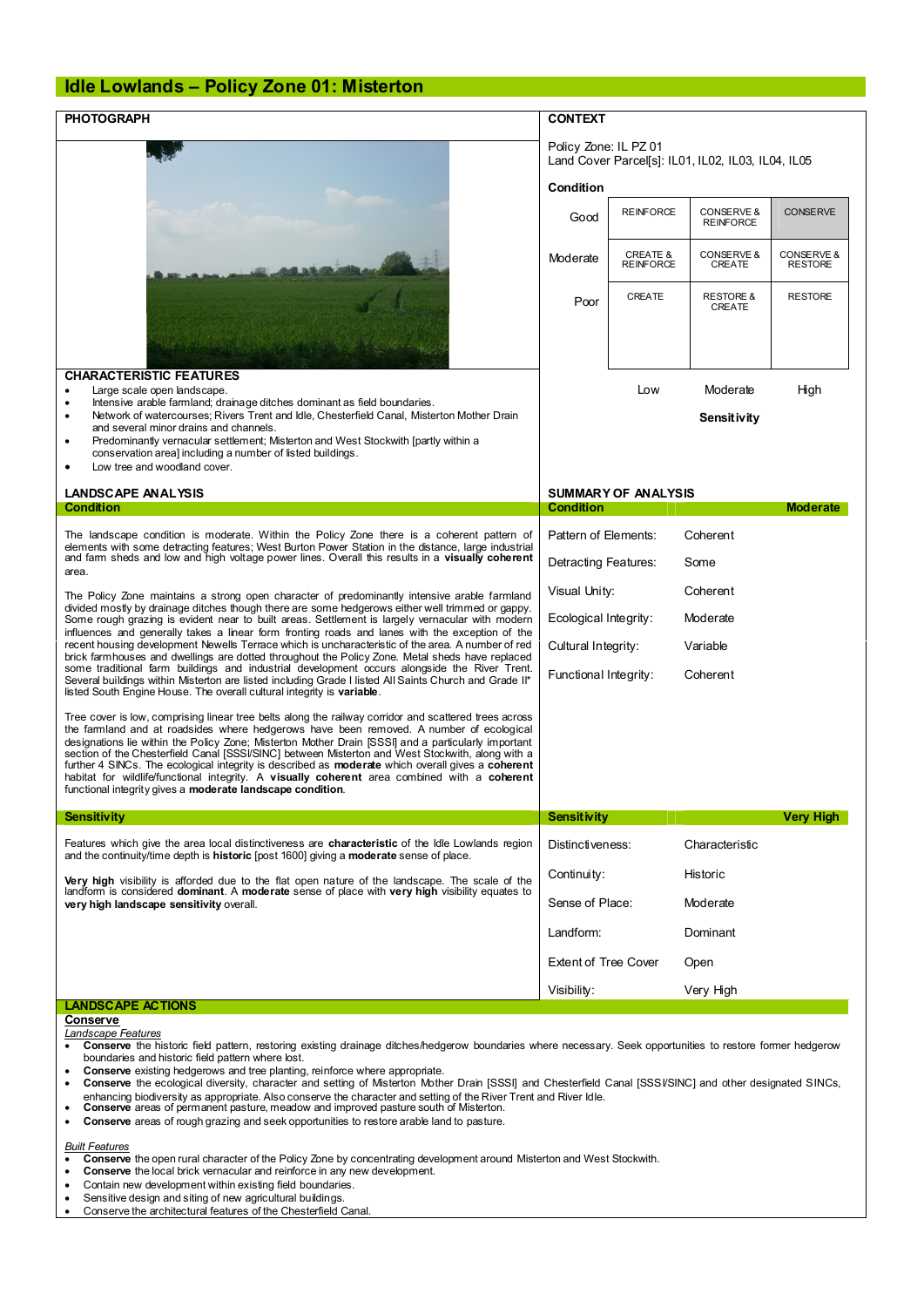### **Idle Lowlands – Policy Zone 01: Misterton**

| <b>PHOTOGRAPH</b>                                                                                                                                                                                                                                                                                                                                                                                                                                                                                                                                                                                                                                                                     | <b>CONTEXT</b><br>Policy Zone: IL PZ 01<br>Land Cover Parcells1: IL01. IL02. IL03. IL04. IL05 |                                         |                                           |                              |
|---------------------------------------------------------------------------------------------------------------------------------------------------------------------------------------------------------------------------------------------------------------------------------------------------------------------------------------------------------------------------------------------------------------------------------------------------------------------------------------------------------------------------------------------------------------------------------------------------------------------------------------------------------------------------------------|-----------------------------------------------------------------------------------------------|-----------------------------------------|-------------------------------------------|------------------------------|
|                                                                                                                                                                                                                                                                                                                                                                                                                                                                                                                                                                                                                                                                                       |                                                                                               |                                         |                                           |                              |
|                                                                                                                                                                                                                                                                                                                                                                                                                                                                                                                                                                                                                                                                                       | Condition                                                                                     |                                         |                                           |                              |
|                                                                                                                                                                                                                                                                                                                                                                                                                                                                                                                                                                                                                                                                                       | Good                                                                                          | <b>REINFORCE</b>                        | <b>CONSERVE &amp;</b><br><b>REINFORCE</b> | <b>CONSERVE</b>              |
|                                                                                                                                                                                                                                                                                                                                                                                                                                                                                                                                                                                                                                                                                       | Moderate                                                                                      | <b>CREATE &amp;</b><br><b>REINFORCE</b> | CONSERVE &<br>CREATE                      | CONSERVE &<br><b>RESTORE</b> |
|                                                                                                                                                                                                                                                                                                                                                                                                                                                                                                                                                                                                                                                                                       | Poor                                                                                          | CREATE                                  | <b>RESTORE &amp;</b><br>CREATE            | <b>RESTORE</b>               |
| <b>CHARACTERISTIC FEATURES</b>                                                                                                                                                                                                                                                                                                                                                                                                                                                                                                                                                                                                                                                        |                                                                                               |                                         |                                           |                              |
| Large scale open landscape.<br>٠<br>Intensive arable farmland; drainage ditches dominant as field boundaries.<br>$\bullet$                                                                                                                                                                                                                                                                                                                                                                                                                                                                                                                                                            |                                                                                               | Low                                     | Moderate                                  | High                         |
| Network of watercourses; Rivers Trent and Idle, Chesterfield Canal, Misterton Mother Drain<br>$\bullet$<br>and several minor drains and channels.<br>Predominantly vernacular settlement; Misterton and West Stockwith [partly within a<br>$\bullet$<br>conservation area] including a number of listed buildings.                                                                                                                                                                                                                                                                                                                                                                    |                                                                                               |                                         | Sensitivity                               |                              |
| Low tree and woodland cover.<br>٠                                                                                                                                                                                                                                                                                                                                                                                                                                                                                                                                                                                                                                                     |                                                                                               |                                         |                                           |                              |
| <b>LANDSCAPE ANALYSIS</b><br><b>Condition</b>                                                                                                                                                                                                                                                                                                                                                                                                                                                                                                                                                                                                                                         | <b>SUMMARY OF ANALYSIS</b><br><b>Condition</b>                                                |                                         |                                           | <b>Moderate</b>              |
|                                                                                                                                                                                                                                                                                                                                                                                                                                                                                                                                                                                                                                                                                       |                                                                                               |                                         |                                           |                              |
| The landscape condition is moderate. Within the Policy Zone there is a coherent pattern of<br>elements with some detracting features; West Burton Power Station in the distance, large industrial<br>and farm sheds and low and high voltage power lines. Overall this results in a visually coherent                                                                                                                                                                                                                                                                                                                                                                                 | Pattern of Elements:<br>Detracting Features:                                                  |                                         | Coherent<br>Some                          |                              |
| area.                                                                                                                                                                                                                                                                                                                                                                                                                                                                                                                                                                                                                                                                                 |                                                                                               |                                         |                                           |                              |
| The Policy Zone maintains a strong open character of predominantly intensive arable farmland<br>divided mostly by drainage ditches though there are some hedgerows either well trimmed or gappy.<br>Some rough grazing is evident near to built areas. Settlement is largely vernacular with modern<br>influences and generally takes a linear form fronting roads and lanes with the exception of the                                                                                                                                                                                                                                                                                | Visual Unity:<br>Coherent                                                                     |                                         |                                           |                              |
|                                                                                                                                                                                                                                                                                                                                                                                                                                                                                                                                                                                                                                                                                       | Ecological Integrity:                                                                         |                                         | Moderate                                  |                              |
| recent housing development Newells Terrace which is uncharacteristic of the area. A number of red<br>brick farmhouses and dwellings are dotted throughout the Policy Zone. Metal sheds have replaced                                                                                                                                                                                                                                                                                                                                                                                                                                                                                  | Cultural Integrity:<br>Variable                                                               |                                         |                                           |                              |
| some traditional farm buildings and industrial development occurs alongside the River Trent.<br>Several buildings within Misterton are listed including Grade I listed All Saints Church and Grade II*<br>listed South Engine House. The overall cultural integrity is variable.                                                                                                                                                                                                                                                                                                                                                                                                      | Functional Integrity:<br>Coherent                                                             |                                         |                                           |                              |
| Tree cover is low, comprising linear tree belts along the railway corridor and scattered trees across<br>the farmland and at roadsides where hedgerows have been removed. A number of ecological<br>designations lie within the Policy Zone: Misterton Mother Drain ISSSII and a particularly important<br>section of the Chesterfield Canal [SSSI/SINC] between Misterton and West Stockwith, along with a<br>further 4 SINCs. The ecological integrity is described as <b>moderate</b> which overall gives a coherent<br>habitat for wildlife/functional integrity. A visually coherent area combined with a coherent<br>functional integrity gives a moderate landscape condition. |                                                                                               |                                         |                                           |                              |
| <b>Sensitivity</b>                                                                                                                                                                                                                                                                                                                                                                                                                                                                                                                                                                                                                                                                    | <b>Sensitivity</b>                                                                            |                                         |                                           | Very High                    |
| Features which give the area local distinctiveness are <b>characteristic</b> of the Idle Lowlands region<br>and the continuity/time depth is <b>historic</b> [post 1600] giving a <b>moderate</b> sense of place.                                                                                                                                                                                                                                                                                                                                                                                                                                                                     | Distinctiveness:                                                                              |                                         | Characteristic                            |                              |
| <b>Very high</b> visibility is afforded due to the flat open nature of the landscape. The scale of the<br>landform is considered <b>dominant</b> . A moderate sense of place with very high visibility equates to<br>very high landscape sensitivity overall.                                                                                                                                                                                                                                                                                                                                                                                                                         | Continuity:<br>Historic                                                                       |                                         |                                           |                              |
|                                                                                                                                                                                                                                                                                                                                                                                                                                                                                                                                                                                                                                                                                       | Sense of Place:<br>Moderate                                                                   |                                         |                                           |                              |
|                                                                                                                                                                                                                                                                                                                                                                                                                                                                                                                                                                                                                                                                                       | Landform:                                                                                     |                                         | Dominant                                  |                              |
|                                                                                                                                                                                                                                                                                                                                                                                                                                                                                                                                                                                                                                                                                       | <b>Extent of Tree Cover</b><br>Open                                                           |                                         |                                           |                              |
|                                                                                                                                                                                                                                                                                                                                                                                                                                                                                                                                                                                                                                                                                       | Visibility:<br>Very High                                                                      |                                         |                                           |                              |
|                                                                                                                                                                                                                                                                                                                                                                                                                                                                                                                                                                                                                                                                                       |                                                                                               |                                         |                                           |                              |

- · **Conserve** the ecological diversity, character and setting of Misterton Mother Drain [SSSI] and Chesterfield Canal [SSSI/SINC] and other designated SINCs, enhancing biodiversity as appropriate. Also conserve the character and setting of the River Trent and River Idle. · **Conserve** areas of permanent pasture, meadow and improved pasture south of Misterton.
- 
- · **Conserve** areas of rough grazing and seek opportunities to restore arable land to pasture.

- *Built Features* · **Conserve** the open rural character of the Policy Zone by concentrating development around Misterton and West Stockwith.
- **Conserve** the local brick vernacular and reinforce in any new development.<br>• Contain new development within existing field boundaries.
- Contain new development within existing field boundaries.
- · Sensitive design and siting of new agricultural buildings.
- Conserve the architectural features of the Chesterfield Canal.